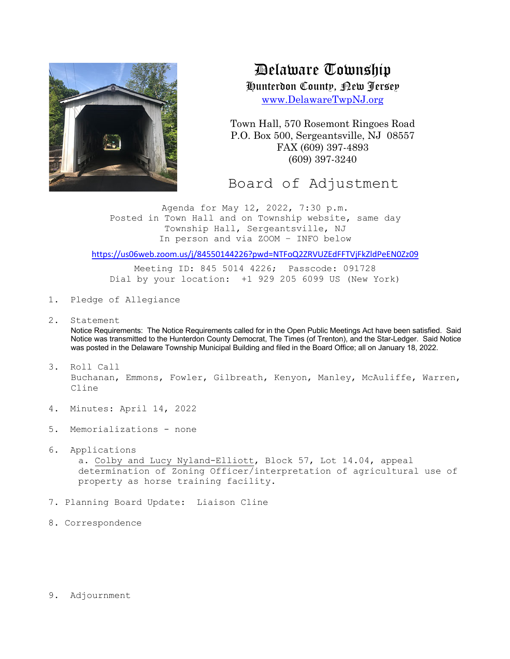

Delaware Township

Hunterdon County, New Jersey

www.DelawareTwpNJ.org

Town Hall, 570 Rosemont Ringoes Road P.O. Box 500, Sergeantsville, NJ 08557 FAX (609) 397-4893 (609) 397-3240

Board of Adjustment

Agenda for May 12, 2022, 7:30 p.m. Posted in Town Hall and on Township website, same day Township Hall, Sergeantsville, NJ In person and via ZOOM – INFO below

https://us06web.zoom.us/j/84550144226?pwd=NTFoQ2ZRVUZEdFFTVjFkZldPeEN0Zz09

Meeting ID: 845 5014 4226; Passcode: 091728 Dial by your location: +1 929 205 6099 US (New York)

- 1. Pledge of Allegiance
- 2. Statement

Notice Requirements: The Notice Requirements called for in the Open Public Meetings Act have been satisfied. Said Notice was transmitted to the Hunterdon County Democrat, The Times (of Trenton), and the Star-Ledger. Said Notice was posted in the Delaware Township Municipal Building and filed in the Board Office; all on January 18, 2022.

- 3. Roll Call Buchanan, Emmons, Fowler, Gilbreath, Kenyon, Manley, McAuliffe, Warren, Cline
- 4. Minutes: April 14, 2022
- 5. Memorializations none
- 6. Applications

a. Colby and Lucy Nyland-Elliott, Block 57, Lot 14.04, appeal determination of Zoning Officer/interpretation of agricultural use of property as horse training facility.

- 7. Planning Board Update: Liaison Cline
- 8. Correspondence
- 9. Adjournment